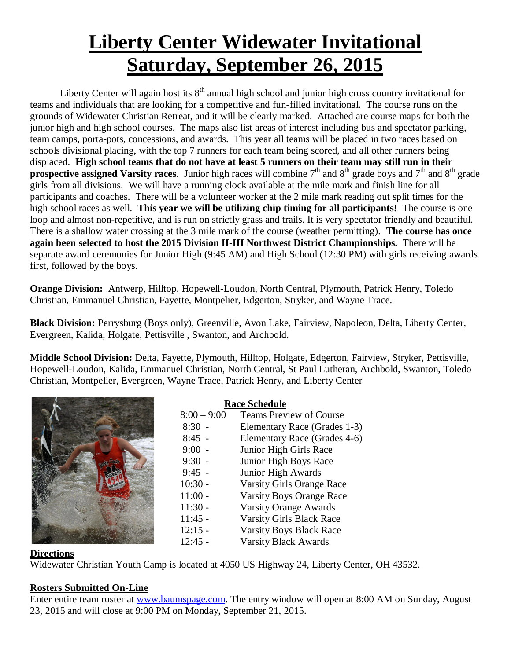# **Liberty Center Widewater Invitational Saturday, September 26, 2015**

Liberty Center will again host its  $8<sup>th</sup>$  annual high school and junior high cross country invitational for teams and individuals that are looking for a competitive and fun-filled invitational. The course runs on the grounds of Widewater Christian Retreat, and it will be clearly marked. Attached are course maps for both the junior high and high school courses. The maps also list areas of interest including bus and spectator parking, team camps, porta-pots, concessions, and awards. This year all teams will be placed in two races based on schools divisional placing, with the top 7 runners for each team being scored, and all other runners being displaced. **High school teams that do not have at least 5 runners on their team may still run in their prospective assigned Varsity races**. Junior high races will combine  $7<sup>th</sup>$  and  $8<sup>th</sup>$  grade boys and  $7<sup>th</sup>$  and  $8<sup>th</sup>$  grade girls from all divisions. We will have a running clock available at the mile mark and finish line for all participants and coaches. There will be a volunteer worker at the 2 mile mark reading out split times for the high school races as well. **This year we will be utilizing chip timing for all participants!** The course is one loop and almost non-repetitive, and is run on strictly grass and trails. It is very spectator friendly and beautiful. There is a shallow water crossing at the 3 mile mark of the course (weather permitting). **The course has once again been selected to host the 2015 Division II-III Northwest District Championships.** There will be separate award ceremonies for Junior High (9:45 AM) and High School (12:30 PM) with girls receiving awards first, followed by the boys.

**Orange Division:** Antwerp, Hilltop, Hopewell-Loudon, North Central, Plymouth, Patrick Henry, Toledo Christian, Emmanuel Christian, Fayette, Montpelier, Edgerton, Stryker, and Wayne Trace.

**Black Division:** Perrysburg (Boys only), Greenville, Avon Lake, Fairview, Napoleon, Delta, Liberty Center, Evergreen, Kalida, Holgate, Pettisville , Swanton, and Archbold.

**Middle School Division:** Delta, Fayette, Plymouth, Hilltop, Holgate, Edgerton, Fairview, Stryker, Pettisville, Hopewell-Loudon, Kalida, Emmanuel Christian, North Central, St Paul Lutheran, Archbold, Swanton, Toledo Christian, Montpelier, Evergreen, Wayne Trace, Patrick Henry, and Liberty Center



**Race Schedule**<br>8:00 – 9:00 Teams Prev Teams Preview of Course 8:30 - Elementary Race (Grades 1-3) 8:45 - Elementary Race (Grades 4-6) 9:00 - Junior High Girls Race 9:30 - Junior High Boys Race 9:45 - Junior High Awards 10:30 - Varsity Girls Orange Race<br>11:00 - Varsity Boys Orange Race Varsity Boys Orange Race 11:30 - Varsity Orange Awards 11:45 - Varsity Girls Black Race 12:15 - Varsity Boys Black Race 12:45 - Varsity Black Awards

#### **Directions**

Widewater Christian Youth Camp is located at 4050 US Highway 24, Liberty Center, OH 43532.

#### **Rosters Submitted On-Line**

Enter entire team roster at www.baumspage.com. The entry window will open at 8:00 AM on Sunday, August 23, 2015 and will close at 9:00 PM on Monday, September 21, 2015.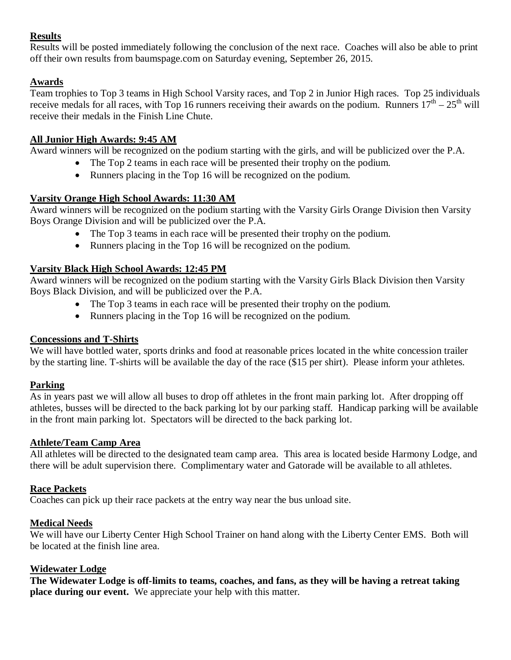#### **Results**

Results will be posted immediately following the conclusion of the next race. Coaches will also be able to print off their own results from baumspage.com on Saturday evening, September 26, 2015.

### **Awards**

Team trophies to Top 3 teams in High School Varsity races, and Top 2 in Junior High races. Top 25 individuals receive medals for all races, with Top 16 runners receiving their awards on the podium. Runners  $17<sup>th</sup> - 25<sup>th</sup>$  will receive their medals in the Finish Line Chute.

#### **All Junior High Awards: 9:45 AM**

Award winners will be recognized on the podium starting with the girls, and will be publicized over the P.A.

- The Top 2 teams in each race will be presented their trophy on the podium.
- Runners placing in the Top 16 will be recognized on the podium.

#### **Varsity Orange High School Awards: 11:30 AM**

Award winners will be recognized on the podium starting with the Varsity Girls Orange Division then Varsity Boys Orange Division and will be publicized over the P.A.

- The Top 3 teams in each race will be presented their trophy on the podium.
- Runners placing in the Top 16 will be recognized on the podium.

#### **Varsity Black High School Awards: 12:45 PM**

Award winners will be recognized on the podium starting with the Varsity Girls Black Division then Varsity Boys Black Division, and will be publicized over the P.A.

- The Top 3 teams in each race will be presented their trophy on the podium.
- Runners placing in the Top 16 will be recognized on the podium.

#### **Concessions and T-Shirts**

We will have bottled water, sports drinks and food at reasonable prices located in the white concession trailer by the starting line. T-shirts will be available the day of the race (\$15 per shirt). Please inform your athletes.

#### **Parking**

As in years past we will allow all buses to drop off athletes in the front main parking lot. After dropping off athletes, busses will be directed to the back parking lot by our parking staff. Handicap parking will be available in the front main parking lot. Spectators will be directed to the back parking lot.

#### **Athlete/Team Camp Area**

All athletes will be directed to the designated team camp area. This area is located beside Harmony Lodge, and there will be adult supervision there. Complimentary water and Gatorade will be available to all athletes.

#### **Race Packets**

Coaches can pick up their race packets at the entry way near the bus unload site.

#### **Medical Needs**

We will have our Liberty Center High School Trainer on hand along with the Liberty Center EMS. Both will be located at the finish line area.

#### **Widewater Lodge**

**The Widewater Lodge is off-limits to teams, coaches, and fans, as they will be having a retreat taking place during our event.** We appreciate your help with this matter.